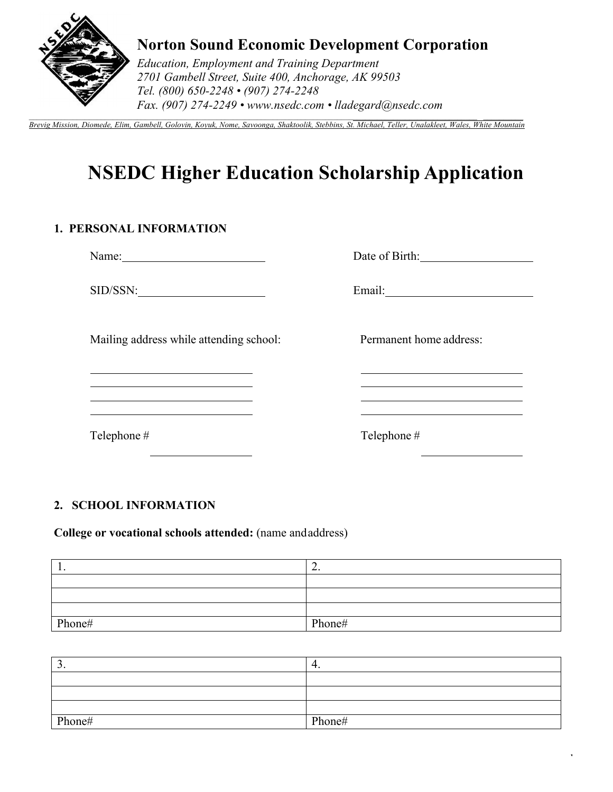

# **Norton Sound Economic Development Corporation**

*Education, Employment and Training Department 2701 Gambell Street, Suite 400, Anchorage, AK 99503 Tel. (800) 650-2248 • (907) 274-2248 Fax. (907) 274-2249 • www.nsedc.com • lladegard@nsedc.com* 

 $\_$  , and the state of the state of the state of the state of the state of the state of the state of the state of the state of the state of the state of the state of the state of the state of the state of the state of the *Brevig Mission, Diomede, Elim, Gambell, Golovin, Koyuk, Nome, Savoonga, Shaktoolik, Stebbins, St. Michael, Teller, Unalakleet, Wales, White Mountain*

# **NSEDC Higher Education Scholarship Application**

## **1. PERSONAL INFORMATION**

Name: Name: Name: Name: Name: Name: Name: Name: Name: Name: Name: Name: Name: Name: Name: Name: Name: Name: Name: Name: Name: Name: Name: Name: Name: Name: Name: Name: Name: Name: Name: Name: Name: Name: Name: Name: Name:

SID/SSN: Email: Email:

Mailing address while attending school: Permanent home address:

<u> 1989 - Johann Barbara, martin a</u>

Telephone # Telephone #

1

## **2. SCHOOL INFORMATION**

**College or vocational schools attended:** (name and address)

| . .    | <u>.</u> |
|--------|----------|
|        |          |
|        |          |
|        |          |
| Phone# | Phone#   |

| ້      |        |
|--------|--------|
|        |        |
|        |        |
|        |        |
| Phone# | Phone# |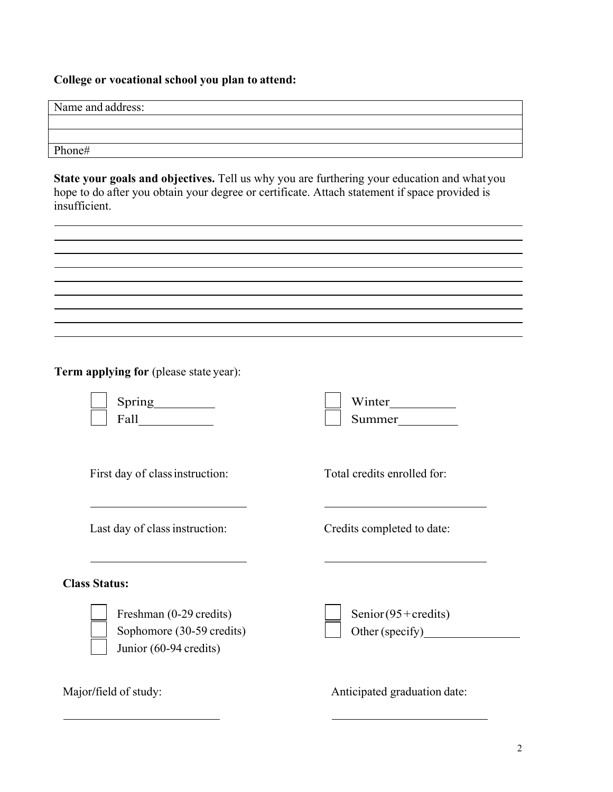# **College or vocational school you plan to attend:**

| Name and address:                                                                                                                                                                                             |                                |
|---------------------------------------------------------------------------------------------------------------------------------------------------------------------------------------------------------------|--------------------------------|
|                                                                                                                                                                                                               |                                |
| Phone#                                                                                                                                                                                                        |                                |
| State your goals and objectives. Tell us why you are furthering your education and what you<br>hope to do after you obtain your degree or certificate. Attach statement if space provided is<br>insufficient. |                                |
|                                                                                                                                                                                                               |                                |
|                                                                                                                                                                                                               |                                |
| <b>Term applying for (please state year):</b>                                                                                                                                                                 |                                |
|                                                                                                                                                                                                               | Winter<br>Summer               |
| First day of class instruction:                                                                                                                                                                               | Total credits enrolled for:    |
| Last day of class instruction:                                                                                                                                                                                | Credits completed to date:     |
| <b>Class Status:</b>                                                                                                                                                                                          |                                |
| Freshman (0-29 credits)<br>Sophomore (30-59 credits)<br>Junior (60-94 credits)                                                                                                                                | Senior $(95 + \text{credits})$ |
| Major/field of study:                                                                                                                                                                                         | Anticipated graduation date:   |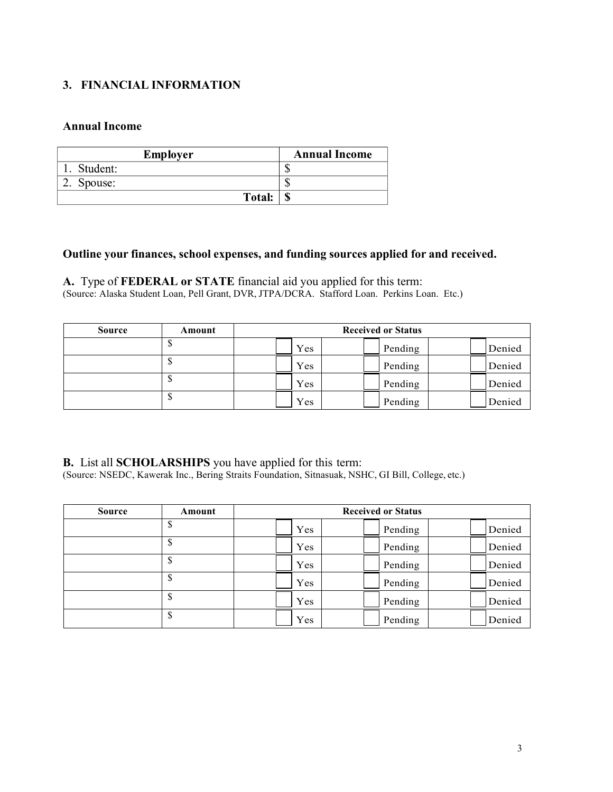### **3. FINANCIAL INFORMATION**

#### **Annual Income**

| <b>Employer</b> | <b>Annual Income</b> |
|-----------------|----------------------|
| Student:        |                      |
| 2. Spouse:      |                      |
| Total:          | ۱D                   |

#### **Outline your finances, school expenses, and funding sources applied for and received.**

**A.** Type of **FEDERAL or STATE** financial aid you applied for this term: (Source: Alaska Student Loan, Pell Grant, DVR, JTPA/DCRA. Stafford Loan. Perkins Loan. Etc.)

| <b>Source</b> | Amount |     | <b>Received or Status</b> |        |
|---------------|--------|-----|---------------------------|--------|
|               | Φ      | Yes | Pending                   | Denied |
|               | Φ      | Yes | Pending                   | Denied |
|               | Φ      | Yes | Pending                   | Denied |
|               | Φ      | Yes | Pending                   | Denied |

**B.** List all **SCHOLARSHIPS** you have applied for this term:

(Source: NSEDC, Kawerak Inc., Bering Straits Foundation, Sitnasuak, NSHC, GI Bill, College, etc.)

| <b>Source</b> | Amount |     | <b>Received or Status</b> |        |
|---------------|--------|-----|---------------------------|--------|
|               | \$     | Yes | Pending                   | Denied |
|               | \$     | Yes | Pending                   | Denied |
|               | \$     | Yes | Pending                   | Denied |
|               | \$     | Yes | Pending                   | Denied |
|               | J.     | Yes | Pending                   | Denied |
|               | \$     | Yes | Pending                   | Denied |